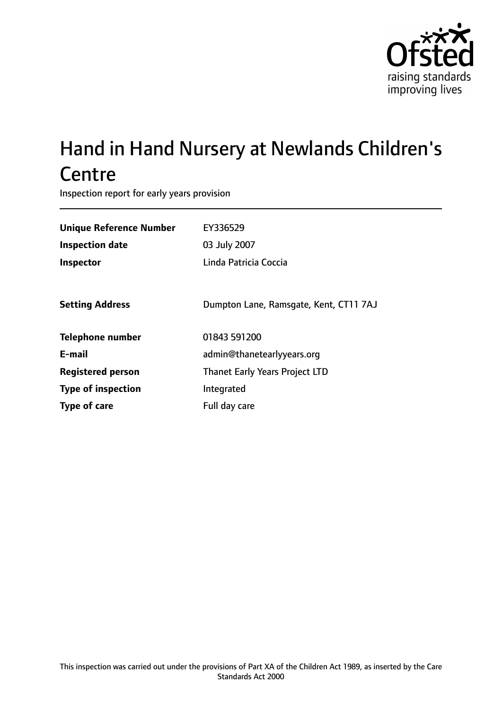

# Hand in Hand Nursery at Newlands Children's **Centre**

Inspection report for early years provision

| <b>Unique Reference Number</b> | EY336529                               |
|--------------------------------|----------------------------------------|
| <b>Inspection date</b>         | 03 July 2007                           |
| Inspector                      | Linda Patricia Coccia                  |
|                                |                                        |
| <b>Setting Address</b>         | Dumpton Lane, Ramsgate, Kent, CT11 7AJ |
| <b>Telephone number</b>        | 01843 591200                           |
| E-mail                         | admin@thanetearlyyears.org             |
| <b>Registered person</b>       | <b>Thanet Early Years Project LTD</b>  |
| <b>Type of inspection</b>      | Integrated                             |
| Type of care                   | Full day care                          |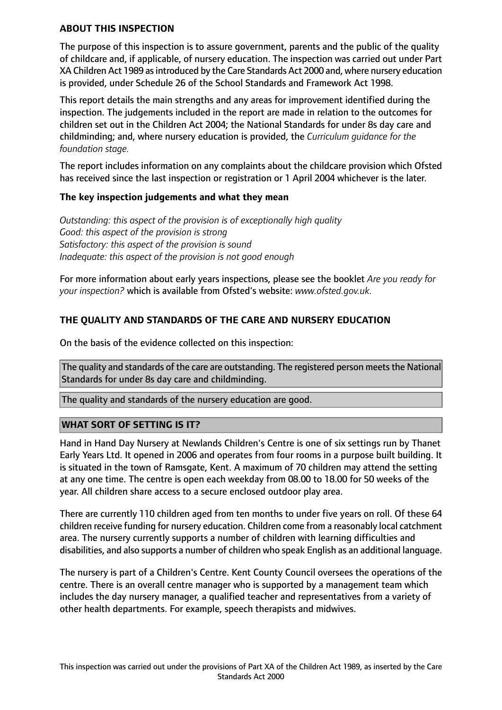#### **ABOUT THIS INSPECTION**

The purpose of this inspection is to assure government, parents and the public of the quality of childcare and, if applicable, of nursery education. The inspection was carried out under Part XA Children Act 1989 asintroduced by the Care Standards Act 2000 and, where nursery education is provided, under Schedule 26 of the School Standards and Framework Act 1998.

This report details the main strengths and any areas for improvement identified during the inspection. The judgements included in the report are made in relation to the outcomes for children set out in the Children Act 2004; the National Standards for under 8s day care and childminding; and, where nursery education is provided, the *Curriculum guidance for the foundation stage.*

The report includes information on any complaints about the childcare provision which Ofsted has received since the last inspection or registration or 1 April 2004 whichever is the later.

## **The key inspection judgements and what they mean**

*Outstanding: this aspect of the provision is of exceptionally high quality Good: this aspect of the provision is strong Satisfactory: this aspect of the provision is sound Inadequate: this aspect of the provision is not good enough*

For more information about early years inspections, please see the booklet *Are you ready for your inspection?* which is available from Ofsted's website: *www.ofsted.gov.uk.*

# **THE QUALITY AND STANDARDS OF THE CARE AND NURSERY EDUCATION**

On the basis of the evidence collected on this inspection:

The quality and standards of the care are outstanding. The registered person meets the National Standards for under 8s day care and childminding.

The quality and standards of the nursery education are good.

## **WHAT SORT OF SETTING IS IT?**

Hand in Hand Day Nursery at Newlands Children's Centre is one of six settings run by Thanet Early Years Ltd. It opened in 2006 and operates from four rooms in a purpose built building. It is situated in the town of Ramsgate, Kent. A maximum of 70 children may attend the setting at any one time. The centre is open each weekday from 08.00 to 18.00 for 50 weeks of the year. All children share access to a secure enclosed outdoor play area.

There are currently 110 children aged from ten months to under five years on roll. Of these 64 children receive funding for nursery education. Children come from a reasonably local catchment area. The nursery currently supports a number of children with learning difficulties and disabilities, and also supports a number of children who speak English as an additional language.

The nursery is part of a Children's Centre. Kent County Council oversees the operations of the centre. There is an overall centre manager who is supported by a management team which includes the day nursery manager, a qualified teacher and representatives from a variety of other health departments. For example, speech therapists and midwives.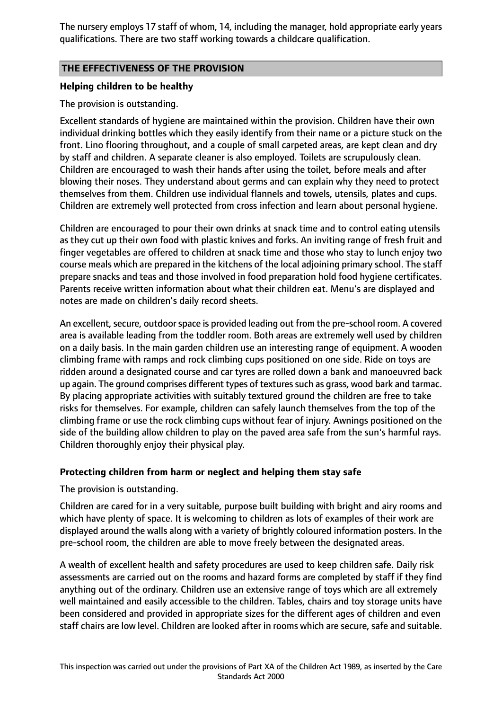The nursery employs 17 staff of whom, 14, including the manager, hold appropriate early years qualifications. There are two staff working towards a childcare qualification.

# **THE EFFECTIVENESS OF THE PROVISION**

#### **Helping children to be healthy**

#### The provision is outstanding.

Excellent standards of hygiene are maintained within the provision. Children have their own individual drinking bottles which they easily identify from their name or a picture stuck on the front. Lino flooring throughout, and a couple of small carpeted areas, are kept clean and dry by staff and children. A separate cleaner is also employed. Toilets are scrupulously clean. Children are encouraged to wash their hands after using the toilet, before meals and after blowing their noses. They understand about germs and can explain why they need to protect themselves from them. Children use individual flannels and towels, utensils, plates and cups. Children are extremely well protected from cross infection and learn about personal hygiene.

Children are encouraged to pour their own drinks at snack time and to control eating utensils as they cut up their own food with plastic knives and forks. An inviting range of fresh fruit and finger vegetables are offered to children at snack time and those who stay to lunch enjoy two course meals which are prepared in the kitchens of the local adjoining primary school. The staff prepare snacks and teas and those involved in food preparation hold food hygiene certificates. Parents receive written information about what their children eat. Menu's are displayed and notes are made on children's daily record sheets.

An excellent, secure, outdoor space is provided leading out from the pre-school room. A covered area is available leading from the toddler room. Both areas are extremely well used by children on a daily basis. In the main garden children use an interesting range of equipment. A wooden climbing frame with ramps and rock climbing cups positioned on one side. Ride on toys are ridden around a designated course and car tyres are rolled down a bank and manoeuvred back up again. The ground comprises different types of textures such as grass, wood bark and tarmac. By placing appropriate activities with suitably textured ground the children are free to take risks for themselves. For example, children can safely launch themselves from the top of the climbing frame or use the rock climbing cups without fear of injury. Awnings positioned on the side of the building allow children to play on the paved area safe from the sun's harmful rays. Children thoroughly enjoy their physical play.

## **Protecting children from harm or neglect and helping them stay safe**

The provision is outstanding.

Children are cared for in a very suitable, purpose built building with bright and airy rooms and which have plenty of space. It is welcoming to children as lots of examples of their work are displayed around the walls along with a variety of brightly coloured information posters. In the pre-school room, the children are able to move freely between the designated areas.

A wealth of excellent health and safety procedures are used to keep children safe. Daily risk assessments are carried out on the rooms and hazard forms are completed by staff if they find anything out of the ordinary. Children use an extensive range of toys which are all extremely well maintained and easily accessible to the children. Tables, chairs and toy storage units have been considered and provided in appropriate sizes for the different ages of children and even staff chairs are low level. Children are looked after in rooms which are secure, safe and suitable.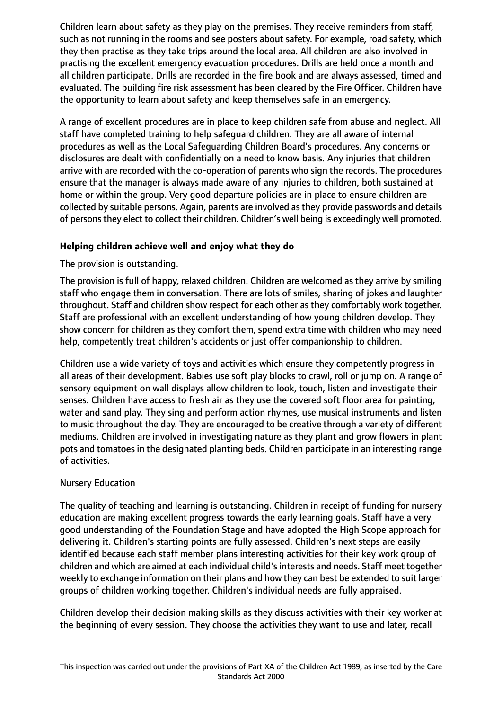Children learn about safety as they play on the premises. They receive reminders from staff, such as not running in the rooms and see posters about safety. For example, road safety, which they then practise as they take trips around the local area. All children are also involved in practising the excellent emergency evacuation procedures. Drills are held once a month and all children participate. Drills are recorded in the fire book and are always assessed, timed and evaluated. The building fire risk assessment has been cleared by the Fire Officer. Children have the opportunity to learn about safety and keep themselves safe in an emergency.

A range of excellent procedures are in place to keep children safe from abuse and neglect. All staff have completed training to help safeguard children. They are all aware of internal procedures as well as the Local Safeguarding Children Board's procedures. Any concerns or disclosures are dealt with confidentially on a need to know basis. Any injuries that children arrive with are recorded with the co-operation of parents who sign the records. The procedures ensure that the manager is always made aware of any injuries to children, both sustained at home or within the group. Very good departure policies are in place to ensure children are collected by suitable persons. Again, parents are involved as they provide passwords and details of persons they elect to collect their children. Children's well being is exceedingly well promoted.

# **Helping children achieve well and enjoy what they do**

The provision is outstanding.

The provision is full of happy, relaxed children. Children are welcomed as they arrive by smiling staff who engage them in conversation. There are lots of smiles, sharing of jokes and laughter throughout. Staff and children show respect for each other as they comfortably work together. Staff are professional with an excellent understanding of how young children develop. They show concern for children as they comfort them, spend extra time with children who may need help, competently treat children's accidents or just offer companionship to children.

Children use a wide variety of toys and activities which ensure they competently progress in all areas of their development. Babies use soft play blocks to crawl, roll or jump on. A range of sensory equipment on wall displays allow children to look, touch, listen and investigate their senses. Children have access to fresh air as they use the covered soft floor area for painting, water and sand play. They sing and perform action rhymes, use musical instruments and listen to music throughout the day. They are encouraged to be creative through a variety of different mediums. Children are involved in investigating nature as they plant and grow flowers in plant pots and tomatoes in the designated planting beds. Children participate in an interesting range of activities.

## Nursery Education

The quality of teaching and learning is outstanding. Children in receipt of funding for nursery education are making excellent progress towards the early learning goals. Staff have a very good understanding of the Foundation Stage and have adopted the High Scope approach for delivering it. Children's starting points are fully assessed. Children's next steps are easily identified because each staff member plans interesting activities for their key work group of children and which are aimed at each individual child's interests and needs. Staff meet together weekly to exchange information on their plans and how they can best be extended to suit larger groups of children working together. Children's individual needs are fully appraised.

Children develop their decision making skills as they discuss activities with their key worker at the beginning of every session. They choose the activities they want to use and later, recall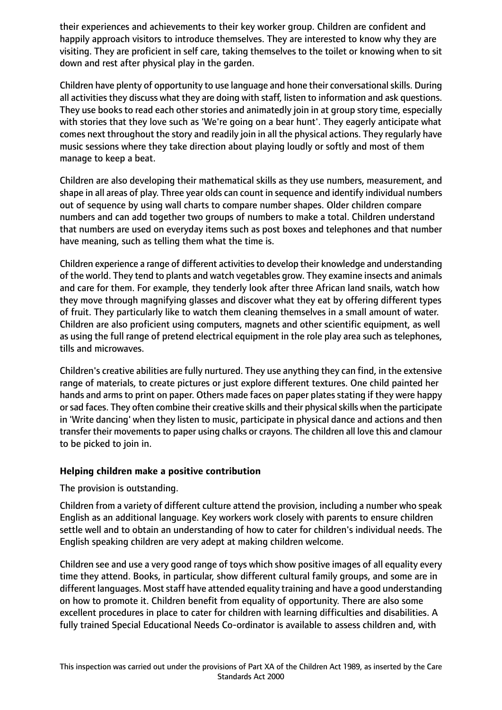their experiences and achievements to their key worker group. Children are confident and happily approach visitors to introduce themselves. They are interested to know why they are visiting. They are proficient in self care, taking themselves to the toilet or knowing when to sit down and rest after physical play in the garden.

Children have plenty of opportunity to use language and hone their conversational skills. During all activities they discuss what they are doing with staff, listen to information and ask questions. They use books to read each other stories and animatedly join in at group story time, especially with stories that they love such as 'We're going on a bear hunt'. They eagerly anticipate what comes next throughout the story and readily join in all the physical actions. They regularly have music sessions where they take direction about playing loudly or softly and most of them manage to keep a beat.

Children are also developing their mathematical skills as they use numbers, measurement, and shape in all areas of play. Three year olds can count in sequence and identify individual numbers out of sequence by using wall charts to compare number shapes. Older children compare numbers and can add together two groups of numbers to make a total. Children understand that numbers are used on everyday items such as post boxes and telephones and that number have meaning, such as telling them what the time is.

Children experience a range of different activitiesto develop their knowledge and understanding of the world. They tend to plants and watch vegetables grow. They examine insects and animals and care for them. For example, they tenderly look after three African land snails, watch how they move through magnifying glasses and discover what they eat by offering different types of fruit. They particularly like to watch them cleaning themselves in a small amount of water. Children are also proficient using computers, magnets and other scientific equipment, as well as using the full range of pretend electrical equipment in the role play area such as telephones, tills and microwaves.

Children's creative abilities are fully nurtured. They use anything they can find, in the extensive range of materials, to create pictures or just explore different textures. One child painted her hands and arms to print on paper. Others made faces on paper plates stating if they were happy or sad faces. They often combine their creative skills and their physical skills when the participate in 'Write dancing' when they listen to music, participate in physical dance and actions and then transfer their movements to paper using chalks or crayons. The children all love this and clamour to be picked to join in.

## **Helping children make a positive contribution**

# The provision is outstanding.

Children from a variety of different culture attend the provision, including a number who speak English as an additional language. Key workers work closely with parents to ensure children settle well and to obtain an understanding of how to cater for children's individual needs. The English speaking children are very adept at making children welcome.

Children see and use a very good range of toys which show positive images of all equality every time they attend. Books, in particular, show different cultural family groups, and some are in different languages. Most staff have attended equality training and have a good understanding on how to promote it. Children benefit from equality of opportunity. There are also some excellent procedures in place to cater for children with learning difficulties and disabilities. A fully trained Special Educational Needs Co-ordinator is available to assess children and, with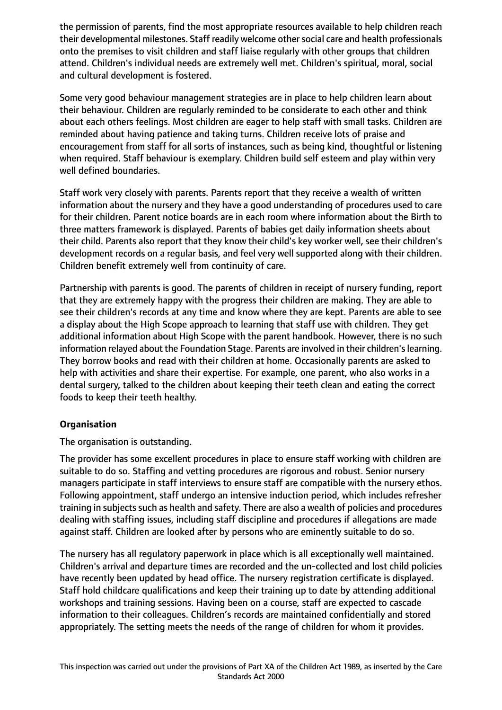the permission of parents, find the most appropriate resources available to help children reach their developmental milestones. Staff readily welcome othersocial care and health professionals onto the premises to visit children and staff liaise regularly with other groups that children attend. Children's individual needs are extremely well met. Children's spiritual, moral, social and cultural development is fostered.

Some very good behaviour management strategies are in place to help children learn about their behaviour. Children are regularly reminded to be considerate to each other and think about each others feelings. Most children are eager to help staff with small tasks. Children are reminded about having patience and taking turns. Children receive lots of praise and encouragement from staff for all sorts of instances, such as being kind, thoughtful or listening when required. Staff behaviour is exemplary. Children build self esteem and play within very well defined boundaries.

Staff work very closely with parents. Parents report that they receive a wealth of written information about the nursery and they have a good understanding of procedures used to care for their children. Parent notice boards are in each room where information about the Birth to three matters framework is displayed. Parents of babies get daily information sheets about their child. Parents also report that they know their child's key worker well, see their children's development records on a regular basis, and feel very well supported along with their children. Children benefit extremely well from continuity of care.

Partnership with parents is good. The parents of children in receipt of nursery funding, report that they are extremely happy with the progress their children are making. They are able to see their children's records at any time and know where they are kept. Parents are able to see a display about the High Scope approach to learning that staff use with children. They get additional information about High Scope with the parent handbook. However, there is no such information relayed about the Foundation Stage. Parents are involved in their children's learning. They borrow books and read with their children at home. Occasionally parents are asked to help with activities and share their expertise. For example, one parent, who also works in a dental surgery, talked to the children about keeping their teeth clean and eating the correct foods to keep their teeth healthy.

# **Organisation**

The organisation is outstanding.

The provider has some excellent procedures in place to ensure staff working with children are suitable to do so. Staffing and vetting procedures are rigorous and robust. Senior nursery managers participate in staff interviews to ensure staff are compatible with the nursery ethos. Following appointment, staff undergo an intensive induction period, which includes refresher training in subjects such as health and safety. There are also a wealth of policies and procedures dealing with staffing issues, including staff discipline and procedures if allegations are made against staff. Children are looked after by persons who are eminently suitable to do so.

The nursery has all regulatory paperwork in place which is all exceptionally well maintained. Children's arrival and departure times are recorded and the un-collected and lost child policies have recently been updated by head office. The nursery registration certificate is displayed. Staff hold childcare qualifications and keep their training up to date by attending additional workshops and training sessions. Having been on a course, staff are expected to cascade information to their colleagues. Children's records are maintained confidentially and stored appropriately. The setting meets the needs of the range of children for whom it provides.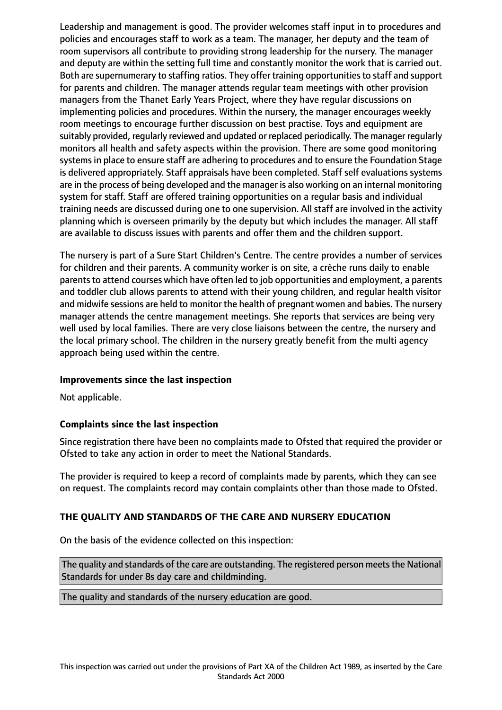Leadership and management is good. The provider welcomes staff input in to procedures and policies and encourages staff to work as a team. The manager, her deputy and the team of room supervisors all contribute to providing strong leadership for the nursery. The manager and deputy are within the setting full time and constantly monitor the work that is carried out. Both are supernumerary to staffing ratios. They offer training opportunitiesto staff and support for parents and children. The manager attends regular team meetings with other provision managers from the Thanet Early Years Project, where they have regular discussions on implementing policies and procedures. Within the nursery, the manager encourages weekly room meetings to encourage further discussion on best practise. Toys and equipment are suitably provided, regularly reviewed and updated or replaced periodically. The manager regularly monitors all health and safety aspects within the provision. There are some good monitoring systems in place to ensure staff are adhering to procedures and to ensure the Foundation Stage is delivered appropriately. Staff appraisals have been completed. Staff self evaluations systems are in the process of being developed and the manager is also working on an internal monitoring system for staff. Staff are offered training opportunities on a regular basis and individual training needs are discussed during one to one supervision. All staff are involved in the activity planning which is overseen primarily by the deputy but which includes the manager. All staff are available to discuss issues with parents and offer them and the children support.

The nursery is part of a Sure Start Children's Centre. The centre provides a number of services for children and their parents. A community worker is on site, a crèche runs daily to enable parents to attend courses which have often led to job opportunities and employment, a parents and toddler club allows parents to attend with their young children, and regular health visitor and midwife sessions are held to monitor the health of pregnant women and babies. The nursery manager attends the centre management meetings. She reports that services are being very well used by local families. There are very close liaisons between the centre, the nursery and the local primary school. The children in the nursery greatly benefit from the multi agency approach being used within the centre.

## **Improvements since the last inspection**

Not applicable.

## **Complaints since the last inspection**

Since registration there have been no complaints made to Ofsted that required the provider or Ofsted to take any action in order to meet the National Standards.

The provider is required to keep a record of complaints made by parents, which they can see on request. The complaints record may contain complaints other than those made to Ofsted.

## **THE QUALITY AND STANDARDS OF THE CARE AND NURSERY EDUCATION**

On the basis of the evidence collected on this inspection:

The quality and standards of the care are outstanding. The registered person meets the National Standards for under 8s day care and childminding.

The quality and standards of the nursery education are good.